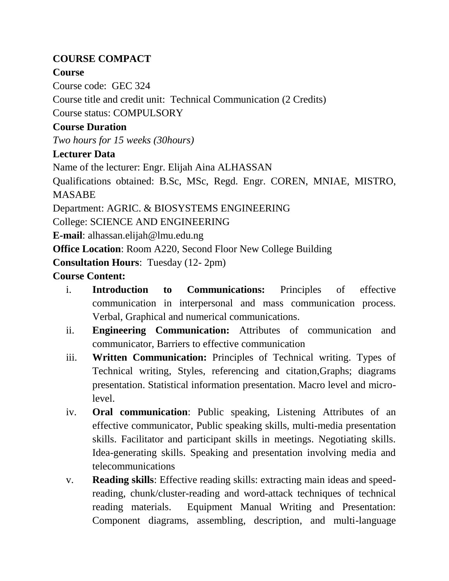## **COURSE COMPACT**

## **Course**

Course code: GEC 324

Course title and credit unit: Technical Communication (2 Credits)

Course status: COMPULSORY

# **Course Duration**

*Two hours for 15 weeks (30hours)*

# **Lecturer Data**

Name of the lecturer: Engr. Elijah Aina ALHASSAN

Qualifications obtained: B.Sc, MSc, Regd. Engr. COREN, MNIAE, MISTRO, MASABE

Department: AGRIC. & BIOSYSTEMS ENGINEERING

College: SCIENCE AND ENGINEERING

**E-mail**: alhassan.elijah@lmu.edu.ng

**Office Location**: Room A220, Second Floor New College Building

**Consultation Hours**: Tuesday (12- 2pm)

# **Course Content:**

- i. **Introduction to Communications:** Principles of effective communication in interpersonal and mass communication process. Verbal, Graphical and numerical communications.
- ii. **Engineering Communication:** Attributes of communication and communicator, Barriers to effective communication
- iii. **Written Communication:** Principles of Technical writing. Types of Technical writing, Styles, referencing and citation,Graphs; diagrams presentation. Statistical information presentation. Macro level and microlevel.
- iv. **Oral communication**: Public speaking, Listening Attributes of an effective communicator, Public speaking skills, multi-media presentation skills. Facilitator and participant skills in meetings. Negotiating skills. Idea-generating skills. Speaking and presentation involving media and telecommunications
- v. **Reading skills**: Effective reading skills: extracting main ideas and speedreading, chunk/cluster-reading and word-attack techniques of technical reading materials. Equipment Manual Writing and Presentation: Component diagrams, assembling, description, and multi-language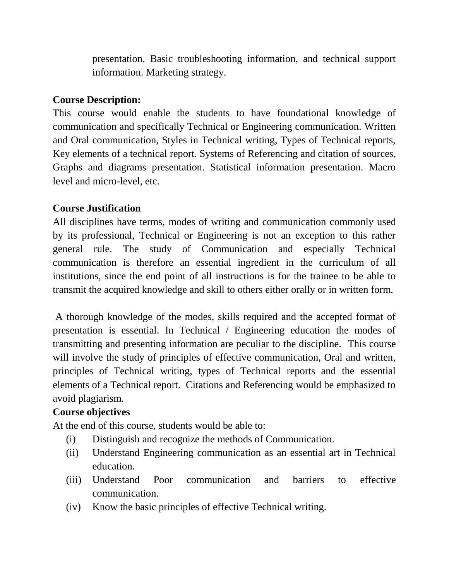presentation. Basic troubleshooting information, and technical support information. Marketing strategy.

#### **Course Description:**

This course would enable the students to have foundational knowledge of communication and specifically Technical or Engineering communication. Written and Oral communication, Styles in Technical writing, Types of Technical reports, Key elements of a technical report. Systems of Referencing and citation of sources, Graphs and diagrams presentation. Statistical information presentation. Macro level and micro-level, etc.

#### **Course Justification**

All disciplines have terms, modes of writing and communication commonly used by its professional, Technical or Engineering is not an exception to this rather general rule. The study of Communication and especially Technical communication is therefore an essential ingredient in the curriculum of all institutions, since the end point of all instructions is for the trainee to be able to transmit the acquired knowledge and skill to others either orally or in written form.

A thorough knowledge of the modes, skills required and the accepted format of presentation is essential. In Technical / Engineering education the modes of transmitting and presenting information are peculiar to the discipline. This course will involve the study of principles of effective communication, Oral and written, principles of Technical writing, types of Technical reports and the essential elements of a Technical report. Citations and Referencing would be emphasized to avoid plagiarism.

#### **Course objectives**

At the end of this course, students would be able to:

- (i) Distinguish and recognize the methods of Communication.
- (ii) Understand Engineering communication as an essential art in Technical education.
- (iii) Understand Poor communication and barriers to effective communication.
- (iv) Know the basic principles of effective Technical writing.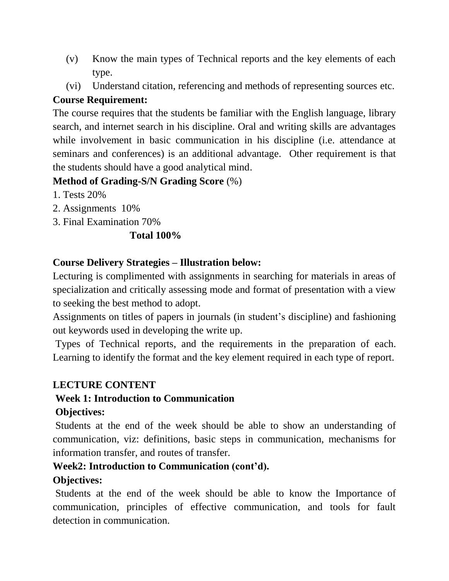- (v) Know the main types of Technical reports and the key elements of each type.
- (vi) Understand citation, referencing and methods of representing sources etc.

#### **Course Requirement:**

The course requires that the students be familiar with the English language, library search, and internet search in his discipline. Oral and writing skills are advantages while involvement in basic communication in his discipline (i.e. attendance at seminars and conferences) is an additional advantage. Other requirement is that the students should have a good analytical mind.

## **Method of Grading-S/N Grading Score** (%)

- 1. Tests 20%
- 2. Assignments 10%
- 3. Final Examination 70%

#### **Total 100%**

#### **Course Delivery Strategies – Illustration below:**

Lecturing is complimented with assignments in searching for materials in areas of specialization and critically assessing mode and format of presentation with a view to seeking the best method to adopt.

Assignments on titles of papers in journals (in student's discipline) and fashioning out keywords used in developing the write up.

Types of Technical reports, and the requirements in the preparation of each. Learning to identify the format and the key element required in each type of report.

## **LECTURE CONTENT**

## **Week 1: Introduction to Communication**

#### **Objectives:**

Students at the end of the week should be able to show an understanding of communication, viz: definitions, basic steps in communication, mechanisms for information transfer, and routes of transfer.

## **Week2: Introduction to Communication (cont'd).**

## **Objectives:**

Students at the end of the week should be able to know the Importance of communication, principles of effective communication, and tools for fault detection in communication.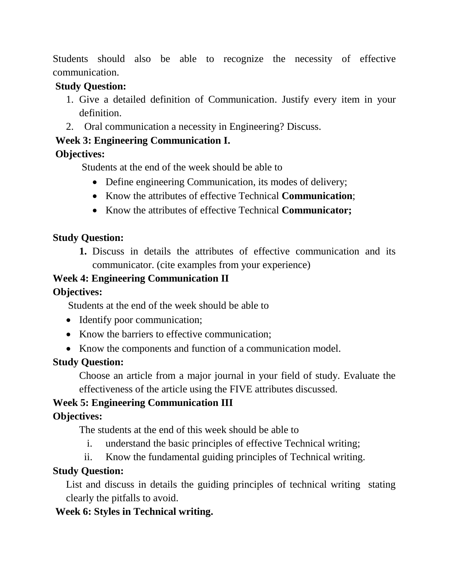Students should also be able to recognize the necessity of effective communication.

#### **Study Question:**

- 1. Give a detailed definition of Communication. Justify every item in your definition.
- 2. Oral communication a necessity in Engineering? Discuss.

## **Week 3: Engineering Communication I.**

## **Objectives:**

Students at the end of the week should be able to

- Define engineering Communication, its modes of delivery;
- Know the attributes of effective Technical **Communication**;
- Know the attributes of effective Technical **Communicator;**

## **Study Question:**

**1.** Discuss in details the attributes of effective communication and its communicator. (cite examples from your experience)

## **Week 4: Engineering Communication II**

## **Objectives:**

Students at the end of the week should be able to

- Identify poor communication;
- Know the barriers to effective communication;
- Know the components and function of a communication model.

## **Study Question:**

Choose an article from a major journal in your field of study. Evaluate the effectiveness of the article using the FIVE attributes discussed.

## **Week 5: Engineering Communication III**

## **Objectives:**

The students at the end of this week should be able to

- i. understand the basic principles of effective Technical writing;
- ii. Know the fundamental guiding principles of Technical writing.

## **Study Question:**

List and discuss in details the guiding principles of technical writing stating clearly the pitfalls to avoid.

## **Week 6: Styles in Technical writing.**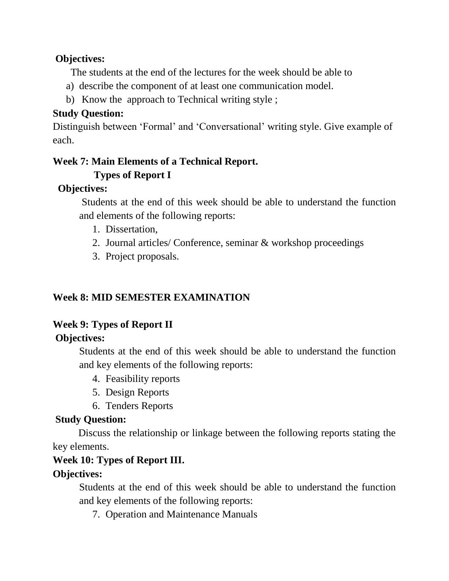#### **Objectives:**

The students at the end of the lectures for the week should be able to

- a) describe the component of at least one communication model.
- b) Know the approach to Technical writing style ;

#### **Study Question:**

Distinguish between 'Formal' and 'Conversational' writing style. Give example of each.

#### **Week 7: Main Elements of a Technical Report. Types of Report I**

# **Objectives:**

Students at the end of this week should be able to understand the function and elements of the following reports:

- 1. Dissertation,
- 2. Journal articles/ Conference, seminar & workshop proceedings
- 3. Project proposals.

## **Week 8: MID SEMESTER EXAMINATION**

# **Week 9: Types of Report II**

## **Objectives:**

Students at the end of this week should be able to understand the function and key elements of the following reports:

- 4. Feasibility reports
- 5. Design Reports
- 6. Tenders Reports

#### **Study Question:**

Discuss the relationship or linkage between the following reports stating the key elements.

# **Week 10: Types of Report III.**

## **Objectives:**

Students at the end of this week should be able to understand the function and key elements of the following reports:

7. Operation and Maintenance Manuals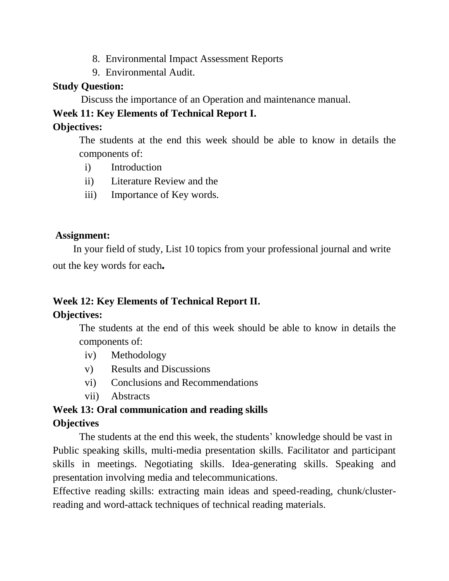- 8. Environmental Impact Assessment Reports
- 9. Environmental Audit.

#### **Study Question:**

Discuss the importance of an Operation and maintenance manual.

#### **Week 11: Key Elements of Technical Report I.**

#### **Objectives:**

The students at the end this week should be able to know in details the components of:

- i) Introduction
- ii) Literature Review and the
- iii) Importance of Key words.

#### **Assignment:**

 In your field of study, List 10 topics from your professional journal and write out the key words for each*.*

## **Week 12: Key Elements of Technical Report II.**

## **Objectives:**

The students at the end of this week should be able to know in details the components of:

- iv) Methodology
- v) Results and Discussions
- vi) Conclusions and Recommendations
- vii) Abstracts

# **Week 13: Oral communication and reading skills**

#### **Objectives**

The students at the end this week, the students' knowledge should be vast in Public speaking skills, multi-media presentation skills. Facilitator and participant skills in meetings. Negotiating skills. Idea-generating skills. Speaking and presentation involving media and telecommunications.

Effective reading skills: extracting main ideas and speed-reading, chunk/clusterreading and word-attack techniques of technical reading materials.